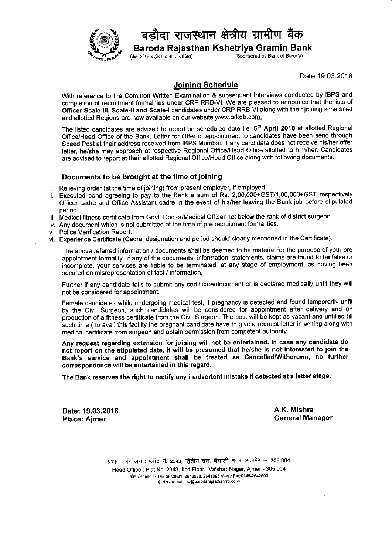

## डौदा राजस्थान क्षेत्रीय ग्रामीण बैंक

**Baroda Rajasthan Kshetriya Gramin Bank**<br>(Sponsored by Bank of Baroda)<br>(Sponsored by Bank of Baroda) (Sponsored by Bank of Baroda)

Date 19.03.2018

## Joininq Schedule

With reference to the Common Written Examination & subsequent lnterviews conducted by IBPS and completion of recruitment formalities under CRP RRB-VI. We are pleased to announce that the lists of Officer Scale-III, Scale-II and Scale-I candidates under CRP RRB-VI along with their joining scheduled and allotted Regions are now available on our website www.brkgb.com.

The listed candidates are advised to report on scheduled date i.e. 5<sup>th</sup> April 2018 at allotted Regional Offlce/Head Office of the Bank. Letter for Offer of appointment to candidates have been send through Speed Post at their address received from IBPS Mumbai. If any candidate does not receive his/her offer letter, he/she may approach at respective Regional Office/Head Office allotted to him/her. Candidates are advised to report at their allotted Regional Office/Head Office along with following documents.

## Documents to be brought at the time of joining

Relieving order (at the time of joining) from present employer, if employed. i.

- Executed bond agreeing to pay to the Bank a sum of Rs. 2,00,000+GST/1,00,000+GST respectively Offlcer cadre and Office Assistant cadre in the event of his/her leaving the Bank job before stipulated period.
- Medical fitness certificate from Govt. Doctor/Medical Officer not below the rank of district surgeon. .
- iv. Any document which is not submitted at the time of pre recruitment formalities
- Police Verification Report.
- vi. Experience Certificate (Cadre, designation and period should clearly mentioned in the Certificate)

The above referred information / documents shall be deemed to be material for the purpose of your pre appointment formality. lf any of the documents, information, statements, claims are found to be false or incomplete; your services are liable to be terminated, at any stage of employment, as having been secured on misrepresentation of fact / information.

Further if any candidate fails to submit any certificate/document or is declared medically unfit they will not be considered for appointment.

Female candidates while undergoing medical test, if pregnancy is detected and found temporarily unfit by the Civil Surgeon, such candidates will be considered for appointment after delivery and on production of a fitness certificate from the Civil Surgeon. The post will be kept as vacant and unfilled till such time.( to avail this facility the pregnant candidate have to give a request letter in writing along with medical certificate from surgeon and obtain permission from competent authority

Any request regarding extension for joining will not be entertained. ln case any candidate do not report on the stipulated date, it will be presumed that he/she is not interested to join the Bank's service and appointment shall be treated as Cancelled/withdrawn, no further correspondence will be entertained in this regard,

The Bank reserves the right to rectify any inadvertent mistake if detected at a letter stage.

Date:19.03.2018 Place: Ajmer

A.K. Mishra General Manager

प्रधान कार्यालय: प्लॉट नं. 2343, द्वितीय तल, वैशाली नगर, अजमेर - 305 004 Head Ofilce : Plot No. 2343, llnd Floor, Vaishali Nagar, Ajmer - 305 004 फोन /Phone: 0145-2642621, 2642580, 2641893 फेक्स / Fax:0145-2642603 ई-मेल / e-mail ho@barodarajasthannb.co.in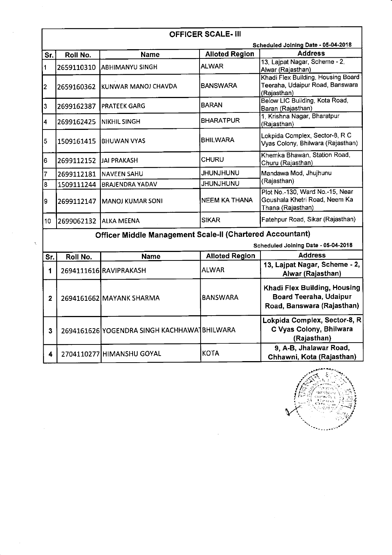|                | <b>OFFICER SCALE- III</b> |                                                           |                       |                                                                                       |  |  |
|----------------|---------------------------|-----------------------------------------------------------|-----------------------|---------------------------------------------------------------------------------------|--|--|
|                |                           |                                                           |                       | Scheduled Joining Date - 05-04-2018                                                   |  |  |
| Sr.            | Roll No.                  | <b>Name</b>                                               | <b>Alloted Region</b> | <b>Address</b>                                                                        |  |  |
| $\vert$ 1      | 2659110310                | IABHIMANYU SINGH                                          | <b>ALWAR</b>          | 13, Lajpat Nagar, Scheme - 2,<br>Alwar (Rajasthan)                                    |  |  |
| $\overline{2}$ | 2659160362                | KUNWAR MANOJ CHAVDA                                       | <b>BANSWARA</b>       | Khadi Flex Building, Housing Board<br>Teeraha, Udaipur Road, Banswara<br>(Rajasthan)  |  |  |
| $\vert$ 3      | 2699162387                | <b>PRATEEK GARG</b>                                       | <b>BARAN</b>          | Below LIC Building, Kota Road,<br>Baran (Rajasthan)                                   |  |  |
| 4              | 2699162425                | NIKHIL SINGH                                              | <b>BHARATPUR</b>      | 1, Krishna Nagar, Bharatpur<br>(Rajasthan)                                            |  |  |
| $\overline{5}$ | 1509161415                | <b>BHUWAN VYAS</b>                                        | <b>BHILWARA</b>       | Lokpida Complex, Sector-8, R C<br>Vyas Colony, Bhilwara (Rajasthan)                   |  |  |
| 6              | 2699112152                | <b>JAI PRAKASH</b>                                        | <b>CHURU</b>          | Khemka Bhawan, Station Road,<br>Churu (Rajasthan)                                     |  |  |
| $\overline{7}$ | 2699112181                | <b>NAVEEN SAHU</b>                                        | <b>JHUNJHUNU</b>      | Mandawa Mod, Jhujhunu                                                                 |  |  |
| 8              | 1509111244                | <b>BRAJENDRA YADAV</b>                                    | <b>UNUHLINUHL</b>     | (Rajasthan)                                                                           |  |  |
| l9∸            | 2699112147                | <b>MANOJ KUMAR SONI</b>                                   | <b>NEEM KA THANA</b>  | Plot No.-130, Ward No.-15, Near<br>Goushala Khetri Road, Neem Ka<br>Thana (Rajasthan) |  |  |
| 10             | 2699062132                | <b>ALKA MEENA</b>                                         | <b>SIKAR</b>          | Fatehpur Road, Sikar (Rajasthan)                                                      |  |  |
|                |                           | Officer Middle Management Scale-II (Chartered Accountant) |                       |                                                                                       |  |  |
|                |                           |                                                           |                       | Scheduled Joining Date - 05-04-2018                                                   |  |  |
| Sr.            | Roll No.                  | <b>Name</b>                                               | <b>Alloted Region</b> | <b>Address</b>                                                                        |  |  |
| 1              |                           | 2694111616 RAVIPRAKASH                                    | <b>ALWAR</b>          | 13, Lajpat Nagar, Scheme - 2,<br>Alwar (Rajasthan)                                    |  |  |
| $\overline{2}$ |                           | 2694161662 MAYANK SHARMA                                  | <b>BANSWARA</b>       | Khadi Flex Building, Housing<br>Board Teeraha, Udaipur<br>Road, Banswara (Rajasthan)  |  |  |

| 3 | 2694161626 YOGENDRA SINGH KACHHAWA BHILWARA |       | │Lokpida Complex, Sector-8, R│<br>C Vyas Colony, Bhilwara<br>(Rajasthan) |
|---|---------------------------------------------|-------|--------------------------------------------------------------------------|
|   | 4 2704110277 HIMANSHU GOYAL                 | IKOTA | 9, A-B, Jhalawar Road,<br>Chhawni, Kota (Rajasthan)                      |

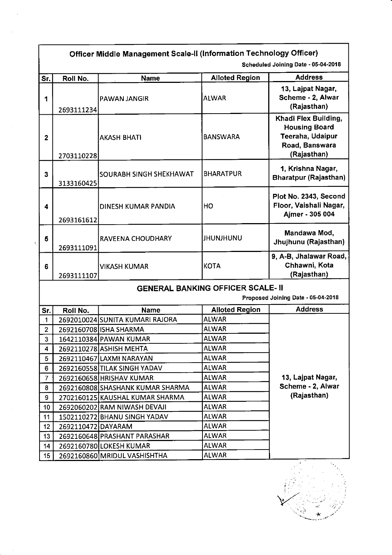|                 |                                     | Officer Middle Management Scale-II (Information Technology Officer) |                                          |                                                                                                   |  |  |  |
|-----------------|-------------------------------------|---------------------------------------------------------------------|------------------------------------------|---------------------------------------------------------------------------------------------------|--|--|--|
|                 | Scheduled Joining Date - 05-04-2018 |                                                                     |                                          |                                                                                                   |  |  |  |
| Sr.             | Roll No.                            | <b>Name</b>                                                         | <b>Alloted Region</b>                    | <b>Address</b>                                                                                    |  |  |  |
| 1               | 2693111234                          | PAWAN JANGIR                                                        | <b>ALWAR</b>                             | 13, Lajpat Nagar,<br>Scheme - 2, Alwar<br>(Rajasthan)                                             |  |  |  |
| $\overline{2}$  | 2703110228                          | <b>AKASH BHATI</b>                                                  | <b>BANSWARA</b>                          | Khadi Flex Building,<br><b>Housing Board</b><br>Teeraha, Udaipur<br>Road, Banswara<br>(Rajasthan) |  |  |  |
| 3               | 3133160425                          | SOURABH SINGH SHEKHAWAT                                             | <b>BHARATPUR</b>                         | 1, Krishna Nagar,<br><b>Bharatpur (Rajasthan)</b>                                                 |  |  |  |
| 4               | 2693161612                          | <b>DINESH KUMAR PANDIA</b>                                          | HO                                       | Plot No. 2343, Second<br>Floor, Vaishali Nagar,<br>Ajmer - 305 004                                |  |  |  |
| 5               | 2693111091                          | RAVEENA CHOUDHARY                                                   | JHUNJHUNU                                | Mandawa Mod,<br>Jhujhunu (Rajasthan)                                                              |  |  |  |
| 6               | 2693111107                          | <b>VIKASH KUMAR</b>                                                 | <b>KOTA</b>                              | 9, A-B, Jhalawar Road,<br>Chhawni, Kota<br>(Rajasthan)                                            |  |  |  |
|                 |                                     |                                                                     | <b>GENERAL BANKING OFFICER SCALE- II</b> | Proposed Joining Date - 05-04-2018                                                                |  |  |  |
| Sr.             | Roll No.                            | <b>Name</b>                                                         | <b>Alloted Region</b>                    | <b>Address</b>                                                                                    |  |  |  |
| $\mathbf{1}$    |                                     | 2692010024 SUNITA KUMARI RAJORA                                     | <b>ALWAR</b>                             |                                                                                                   |  |  |  |
| $\overline{2}$  |                                     | 2692160708 ISHA SHARMA                                              | <b>ALWAR</b>                             |                                                                                                   |  |  |  |
| 3               |                                     | 1642110384 PAWAN KUMAR                                              | <b>ALWAR</b>                             |                                                                                                   |  |  |  |
| 4               |                                     | 2692110278 ASHISH MEHTA                                             | <b>ALWAR</b>                             |                                                                                                   |  |  |  |
| 5               |                                     | 2692110467 LAXMI NARAYAN                                            | <b>ALWAR</b>                             |                                                                                                   |  |  |  |
| 6               |                                     | 2692160558 TILAK SINGH YADAV                                        | <b>ALWAR</b>                             |                                                                                                   |  |  |  |
| $\overline{7}$  |                                     | 2692160658 HRISHAV KUMAR                                            | <b>ALWAR</b>                             | 13, Lajpat Nagar,                                                                                 |  |  |  |
| 8               |                                     | 2692160808 SHASHANK KUMAR SHARMA                                    | <b>ALWAR</b>                             | Scheme - 2, Alwar                                                                                 |  |  |  |
| 9               |                                     | 2702160125 KAUSHAL KUMAR SHARMA                                     | <b>ALWAR</b>                             | (Rajasthan)                                                                                       |  |  |  |
| 10              |                                     | 2692060202 RAM NIWASH DEVAJI                                        | <b>ALWAR</b>                             |                                                                                                   |  |  |  |
| 11              |                                     | 1502110272 BHANU SINGH YADAV                                        | <b>ALWAR</b>                             |                                                                                                   |  |  |  |
| 12              | 2692110472 DAYARAM                  |                                                                     | <b>ALWAR</b>                             |                                                                                                   |  |  |  |
| 13              |                                     | 2692160648 PRASHANT PARASHAR                                        | <b>ALWAR</b>                             |                                                                                                   |  |  |  |
| 14              |                                     | 2692160780 LOKESH KUMAR                                             | <b>ALWAR</b>                             |                                                                                                   |  |  |  |
| 15 <sub>2</sub> |                                     | 2692160860 MRIDUL VASHISHTHA                                        | <b>ALWAR</b>                             |                                                                                                   |  |  |  |

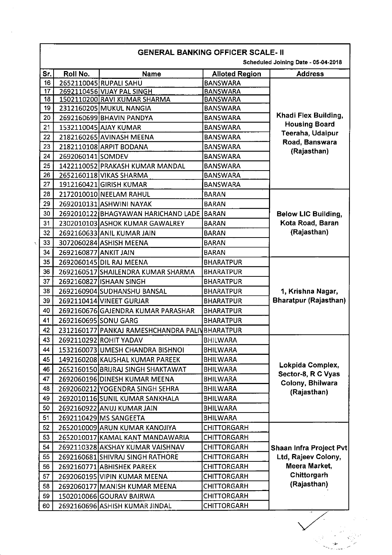|           | Roll No.              |                                                |                                          | Scheduled Joining Date - 05-04-2018<br><b>Address</b> |
|-----------|-----------------------|------------------------------------------------|------------------------------------------|-------------------------------------------------------|
| Sr.<br>16 |                       | <b>Name</b><br>2652110045 RUPALI SAHU          | <b>Alloted Region</b><br><b>BANSWARA</b> |                                                       |
| 17        |                       | 2692110456 VIJAY PAL SINGH                     | <b>BANSWARA</b>                          |                                                       |
| 18        |                       | 1502110200 RAVI KUMAR SHARMA                   | <b>BANSWARA</b>                          |                                                       |
| 19        |                       | 2312160205 MUKUL NANGIA                        | <b>BANSWARA</b>                          |                                                       |
| 20        |                       | 2692160699 BHAVIN PANDYA                       | <b>BANSWARA</b>                          | Khadi Flex Building,                                  |
| 21        |                       | 1532110045 AJAY KUMAR                          | <b>BANSWARA</b>                          | <b>Housing Board</b>                                  |
| 22        |                       | 2182160265 AVINASH MEENA                       | <b>BANSWARA</b>                          | Teeraha, Udaipur                                      |
| 23        |                       | 2182110108 ARPIT BODANA                        | <b>BANSWARA</b>                          | Road, Banswara                                        |
| 24        | 2692060141 SOMDEV     |                                                | <b>BANSWARA</b>                          | (Rajasthan)                                           |
| 25        |                       | 1422110052 PRAKASH KUMAR MANDAL                | <b>BANSWARA</b>                          |                                                       |
| 26        |                       | 2652160118 VIKAS SHARMA                        | <b>BANSWARA</b>                          |                                                       |
| 27        |                       | 1912160421 GIRISH KUMAR                        | <b>BANSWARA</b>                          |                                                       |
| 28        |                       | 2172010010 NEELAM RAHUL                        | <b>BARAN</b>                             |                                                       |
| 29        |                       | 2692010131 ASHWINI NAYAK                       | <b>BARAN</b>                             |                                                       |
| 30        |                       | 26920101221BHAGYAWAN HARICHAND LADE BARAN      |                                          | <b>Below LIC Building,</b>                            |
| 31        |                       | 2302010103 ASHOK KUMAR GAWALREY                | <b>BARAN</b>                             | Kota Road, Baran                                      |
| 32        |                       | 2692160633 ANIL KUMAR JAIN                     | <b>BARAN</b>                             | (Rajasthan)                                           |
| 33        |                       | 3072060284 ASHISH MEENA                        | <b>BARAN</b>                             |                                                       |
| 34        | 2692160877 ANKIT JAIN |                                                | <b>BARAN</b>                             |                                                       |
| 35        |                       | 2692060145 DIL RAJ MEENA                       | <b>BHARATPUR</b>                         |                                                       |
| 36        |                       | 2692160517 SHAILENDRA KUMAR SHARMA             | <b>BHARATPUR</b>                         |                                                       |
| 37        |                       | 2692160827 ISHAAN SINGH                        | <b>BHARATPUR</b>                         |                                                       |
| 38        |                       | 2692160904 SUDHANSHU BANSAL                    | <b>BHARATPUR</b>                         | 1, Krishna Nagar,                                     |
| 39        |                       | 2692110414 VINEET GURJAR                       | <b>BHARATPUR</b>                         | <b>Bharatpur (Rajasthan)</b>                          |
| 40        |                       | 2692160676 GAJENDRA KUMAR PARASHAR             | <b>BHARATPUR</b>                         |                                                       |
| 41        |                       | 2692160695 SONU GARG                           | <b>BHARATPUR</b>                         |                                                       |
| 42        |                       | 2312160177 PANKAJ RAMESHCHANDRA PALIVBHARATPUR |                                          |                                                       |
| 43        |                       | 2692110292 ROHIT YADAV                         | BHILWARA                                 |                                                       |
| 44        |                       | 1532160073 UMESH CHANDRA BISHNOI               | <b>BHILWARA</b>                          |                                                       |
| 45        |                       | 1492160208 KAUSHAL KUMAR PAREEK                | <b>BHILWARA</b>                          |                                                       |
| 46        |                       | 2652160150 BRIJRAJ SINGH SHAKTAWAT             | <b>BHILWARA</b>                          | Lokpida Complex,                                      |
| 47        |                       | 2692060196 DINESH KUMAR MEENA                  | <b>BHILWARA</b>                          | Sector-8, R C Vyas                                    |
| 48        |                       | 2692060212 YOGENDRA SINGH SEHRA                | <b>BHILWARA</b>                          | Colony, Bhilwara                                      |
| 49        |                       | 2692010116 SUNIL KUMAR SANKHALA                | <b>BHILWARA</b>                          | (Rajasthan)                                           |
| 50        |                       | 2692160922 ANUJ KUMAR JAIN                     | <b>BHILWARA</b>                          |                                                       |
| 51        |                       | 2692110429 MS SANGEETA                         | <b>BHILWARA</b>                          |                                                       |
| 52        |                       | 2652010009 ARUN KUMAR KANOJIYA                 | <b>CHITTORGARH</b>                       |                                                       |
| 53        |                       | 2652010017 KAMAL KANT MANDAWARIA               | <b>CHITTORGARH</b>                       |                                                       |
| 54        |                       | 2692110328 AKSHAY KUMAR VAISHNAV               | <b>CHITTORGARH</b>                       | Shaan Infra Project Pvt                               |
| 55        |                       | 2692160681 SHIVRAJ SINGH RATHORE               | <b>CHITTORGARH</b>                       | Ltd, Rajeev Colony,                                   |
| 56        |                       | 2692160771 ABHISHEK PAREEK                     | <b>CHITTORGARH</b>                       | Meera Market,                                         |
| 57        |                       | 2692060195 VIPIN KUMAR MEENA                   | <b>CHITTORGARH</b>                       | Chittorgarh                                           |
| 58        |                       | 2692060177 MANISH KUMAR MEENA                  | <b>CHITTORGARH</b>                       | (Rajasthan)                                           |
| 59        |                       | 1502010066 GOURAV BAIRWA                       | <b>CHITTORGARH</b>                       |                                                       |
| 60        |                       | 2692160696 ASHISH KUMAR JINDAL                 | <b>CHITTORGARH</b>                       |                                                       |
|           |                       |                                                |                                          |                                                       |

a Santa Barat<br>Santa Barat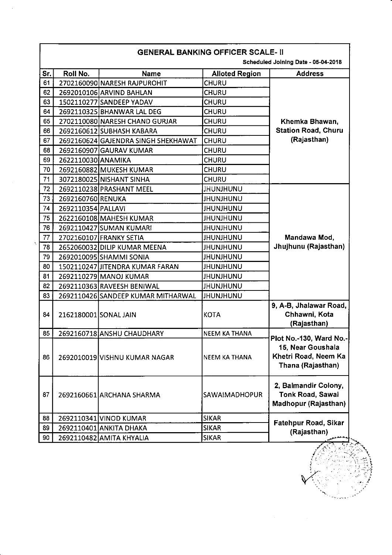|     | <b>GENERAL BANKING OFFICER SCALE- II</b><br>Scheduled Joining Date - 05-04-2018 |                                     |                       |                                                                                           |  |  |
|-----|---------------------------------------------------------------------------------|-------------------------------------|-----------------------|-------------------------------------------------------------------------------------------|--|--|
| Sr. | Roll No.                                                                        | <b>Name</b>                         | <b>Alloted Region</b> | <b>Address</b>                                                                            |  |  |
| 61  |                                                                                 | 2702160090 NARESH RAJPUROHIT        | <b>CHURU</b>          |                                                                                           |  |  |
| 62  |                                                                                 | 2692010106 ARVIND BAHLAN            | CHURU                 |                                                                                           |  |  |
| 63  |                                                                                 | 1502110277 SANDEEP YADAV            | <b>CHURU</b>          |                                                                                           |  |  |
| 64  |                                                                                 | 2692110325 BHANWAR LAL DEG          | <b>CHURU</b>          |                                                                                           |  |  |
| 65  |                                                                                 | 2702110080 NARESH CHAND GURJAR      | <b>CHURU</b>          | Khemka Bhawan,                                                                            |  |  |
| 66  |                                                                                 | 2692160612 SUBHASH KABARA           | <b>CHURU</b>          | <b>Station Road, Churu</b>                                                                |  |  |
| 67  |                                                                                 | 2692160624 GAJENDRA SINGH SHEKHAWAT | <b>CHURU</b>          | (Rajasthan)                                                                               |  |  |
| 68  |                                                                                 | 2692160907 GAURAV KUMAR             | CHURU                 |                                                                                           |  |  |
| 69  | 2622110030 ANAMIKA                                                              |                                     | CHURU                 |                                                                                           |  |  |
| 70  |                                                                                 | 2692160882 MUKESH KUMAR             | <b>CHURU</b>          |                                                                                           |  |  |
| 71  |                                                                                 | 3072180025 NISHANT SINHA            | CHURU                 |                                                                                           |  |  |
| 72  |                                                                                 | 2692110238 PRASHANT MEEL            | <b>JHUNJHUNU</b>      |                                                                                           |  |  |
| 73  | 2692160760 RENUKA                                                               |                                     | <b>JHUNJHUNU</b>      |                                                                                           |  |  |
| 74  | 2692110354 PALLAVI                                                              |                                     | <b>JHUNJHUNU</b>      |                                                                                           |  |  |
| 75  |                                                                                 | 2622160108 MAHESH KUMAR             | <b>JHUNJHUNU</b>      |                                                                                           |  |  |
| 76  |                                                                                 | 2692110427 SUMAN KUMARI             | <b>JHUNJHUNU</b>      |                                                                                           |  |  |
| 77  |                                                                                 | 2702160107 FRANKY SETIA             | <b>UNUHLMUHL</b>      | Mandawa Mod,                                                                              |  |  |
| 78  |                                                                                 | 2652060032 DILIP KUMAR MEENA        | <b>JHUNJHUNU</b>      | Jhujhunu (Rajasthan)                                                                      |  |  |
| 79  |                                                                                 | 2692010095 SHAMMI SONIA             | <b>JHUNJHUNU</b>      |                                                                                           |  |  |
| 80  |                                                                                 | 1502110247 JITENDRA KUMAR FARAN     | <b>JHUNJHUNU</b>      |                                                                                           |  |  |
| 81  |                                                                                 | 2692110279 MANOJ KUMAR              | <b>JHUNJHUNU</b>      |                                                                                           |  |  |
| 82  |                                                                                 | 2692110363 RAVEESH BENIWAL          | <b>UNUHLNUHL</b>      |                                                                                           |  |  |
| 83  |                                                                                 | 2692110426 SANDEEP KUMAR MITHARWAL  | <b>JHUNJHUNU</b>      |                                                                                           |  |  |
| 84  | 2162180001 SONAL JAIN                                                           |                                     | <b>KOTA</b>           | 9, A-B, Jhalawar Road,<br>Chhawni, Kota<br>(Rajasthan)                                    |  |  |
| 85  |                                                                                 | 2692160718 ANSHU CHAUDHARY          | <b>NEEM KA THANA</b>  |                                                                                           |  |  |
| 86  |                                                                                 | 2692010019 VISHNU KUMAR NAGAR       | <b>NEEM KA THANA</b>  | Plot No.-130, Ward No.-<br>15, Near Goushala<br>Khetri Road, Neem Ka<br>Thana (Rajasthan) |  |  |
| 87  |                                                                                 | 2692160661 ARCHANA SHARMA           | SAWAIMADHOPUR         | 2, Balmandir Colony,<br>Tonk Road, Sawai<br>Madhopur (Rajasthan)                          |  |  |
| 88  |                                                                                 | 2692110341 VINOD KUMAR              | <b>SIKAR</b>          |                                                                                           |  |  |
| 89  |                                                                                 | 2692110401 ANKITA DHAKA             | <b>SIKAR</b>          | Fatehpur Road, Sikar                                                                      |  |  |
| 90  |                                                                                 | 2692110482 AMITA KHYALIA            | <b>SIKAR</b>          | (Rajasthan)                                                                               |  |  |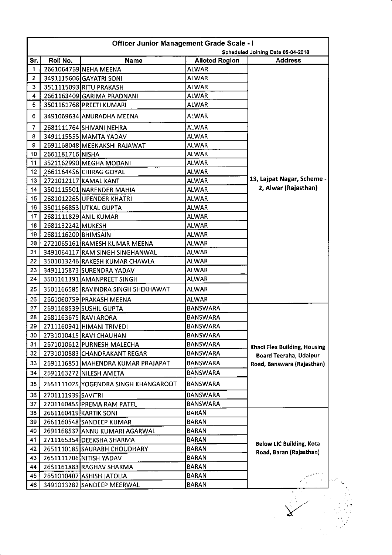| <b>Officer Junior Management Grade Scale - I</b><br>Scheduled Joining Date 05-04-2018 |  |                                      |                       |                                                            |  |
|---------------------------------------------------------------------------------------|--|--------------------------------------|-----------------------|------------------------------------------------------------|--|
| Roll No.<br>Sr.                                                                       |  | <b>Name</b>                          | <b>Alloted Region</b> | <b>Address</b>                                             |  |
|                                                                                       |  | 2661064769 NEHA MEENA                | <b>ALWAR</b>          |                                                            |  |
|                                                                                       |  | 3491115606 GAYATRI SONI              | <b>ALWAR</b>          |                                                            |  |
|                                                                                       |  | 3511115093 RITU PRAKASH              | <b>ALWAR</b>          |                                                            |  |
|                                                                                       |  | 2661163409 GARIMA PRADNANI           | <b>ALWAR</b>          |                                                            |  |
|                                                                                       |  | 3501161768 PREETI KUMARI             | <b>ALWAR</b>          |                                                            |  |
|                                                                                       |  | 3491069634 ANURADHA MEENA            | <b>ALWAR</b>          |                                                            |  |
|                                                                                       |  | 2681111764 SHIVANI NEHRA             | <b>ALWAR</b>          |                                                            |  |
|                                                                                       |  | 3491115555 MAMTA YADAV               | <b>ALWAR</b>          |                                                            |  |
|                                                                                       |  | 2691168048 MEENAKSHI RAJAWAT         | <b>ALWAR</b>          |                                                            |  |
| 2661181716 NISHA<br>10                                                                |  |                                      | <b>ALWAR</b>          |                                                            |  |
| 11                                                                                    |  | 3521162990 MEGHA MODANI              | <b>ALWAR</b>          |                                                            |  |
| 12                                                                                    |  | 2661164456 CHIRAG GOYAL              | <b>ALWAR</b>          |                                                            |  |
| 13 <sub>1</sub>                                                                       |  | 2721012117 KAMAL KANT                | <b>ALWAR</b>          | 13, Lajpat Nagar, Scheme -                                 |  |
| 14                                                                                    |  | 3501115501 NARENDER MAHIA            | <b>ALWAR</b>          | 2, Alwar (Rajasthan)                                       |  |
| 15 <sub>1</sub>                                                                       |  | 2681012265 UPENDER KHATRI            | <b>ALWAR</b>          |                                                            |  |
| 16                                                                                    |  | 3501166853 UTKAL GUPTA               | ALWAR                 |                                                            |  |
| 17                                                                                    |  | 2681111829 ANIL KUMAR                | <b>ALWAR</b>          |                                                            |  |
| 18                                                                                    |  | 2681132242 MUKESH                    | ALWAR                 |                                                            |  |
| 19                                                                                    |  | 2681116200 BHIMSAIN                  | <b>ALWAR</b>          |                                                            |  |
| 20                                                                                    |  | 2721065161 RAMESH KUMAR MEENA        | ALWAR                 |                                                            |  |
| 21                                                                                    |  | 3491064117 RAM SINGH SINGHANWAL      | ALWAR                 |                                                            |  |
| 22                                                                                    |  | 3501013246 RAKESH KUMAR CHAWLA       | ALWAR                 |                                                            |  |
| 23                                                                                    |  | 3491115873 SURENDRA YADAV            | <b>ALWAR</b>          |                                                            |  |
| 24                                                                                    |  | 3501161391 AMANPREET SINGH           | ALWAR                 |                                                            |  |
| 25                                                                                    |  | 3501166585 RAVINDRA SINGH SHEKHAWAT  | <b>ALWAR</b>          |                                                            |  |
| 26                                                                                    |  | 2661060759 PRAKASH MEENA             | <b>ALWAR</b>          |                                                            |  |
| 27                                                                                    |  | 2691168539 SUSHIL GUPTA              | <b>BANSWARA</b>       |                                                            |  |
| 28                                                                                    |  | 2681163675 RAVI ARORA                | BANSWARA              |                                                            |  |
| 29                                                                                    |  | 2711160941 HIMANI TRIVEDI            | BANSWARA              |                                                            |  |
| 30                                                                                    |  | 2731010415 RAVI CHAUHAN              | <b>BANSWARA</b>       |                                                            |  |
| 31                                                                                    |  | 2671010612 PURNESH MALECHA           | <b>BANSWARA</b>       | Khadi Flex Building, Housing                               |  |
| 32                                                                                    |  | 2731010883 CHANDRAKANT REGAR         | <b>BANSWARA</b>       | Board Teeraha, Udaipur                                     |  |
| 33                                                                                    |  | 2691116851 MAHENDRA KUMAR PRAJAPAT   | <b>BANSWARA</b>       | Road, Banswara (Rajasthan)                                 |  |
| 34                                                                                    |  | 2691163272 NILESH AMETA              | <b>BANSWARA</b>       |                                                            |  |
| 35                                                                                    |  | 2651111025 YOGENDRA SINGH KHANGAROOT | <b>BANSWARA</b>       |                                                            |  |
| 36<br>2701111939 SAVITRI                                                              |  |                                      | <b>BANSWARA</b>       |                                                            |  |
| 37                                                                                    |  | 2701160455 PREMA RAM PATEL           | <b>BANSWARA</b>       |                                                            |  |
| 38                                                                                    |  | 2661160419 KARTIK SONI               | <b>BARAN</b>          |                                                            |  |
| 39                                                                                    |  | 2661160548 SANDEEP KUMAR             | <b>BARAN</b>          |                                                            |  |
| 40                                                                                    |  | 2691168537 ANNU KUMARI AGARWAL       | <b>BARAN</b>          |                                                            |  |
| 41                                                                                    |  | 2711165354 DEEKSHA SHARMA            | <b>BARAN</b>          |                                                            |  |
| 42                                                                                    |  | 2651110185 SAURABH CHOUDHARY         | <b>BARAN</b>          |                                                            |  |
| 43                                                                                    |  | 2651111706 NITISH YADAV              | <b>BARAN</b>          |                                                            |  |
| 44                                                                                    |  | 2651161883 RAGHAV SHARMA             | <b>BARAN</b>          |                                                            |  |
| 45                                                                                    |  | 2651010407 ASHISH JATOLIA            | <b>BARAN</b>          |                                                            |  |
| 46                                                                                    |  | 3491013282 SANDEEP MEERWAL           | <b>BARAN</b>          |                                                            |  |
|                                                                                       |  |                                      |                       | <b>Below LIC Building, Kota</b><br>Road, Baran (Rajasthan) |  |

 $\sim$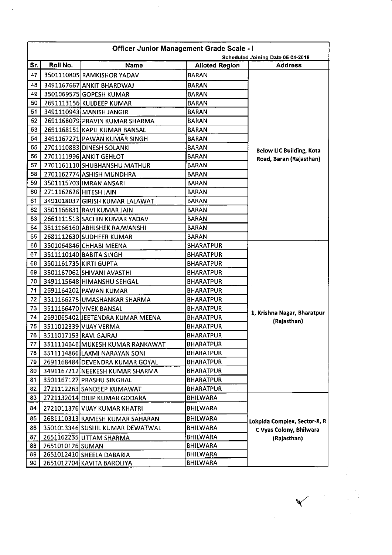|     | <b>Officer Junior Management Grade Scale - I</b><br>Scheduled Joining Date 05-04-2018 |                                  |                       |                                 |  |  |
|-----|---------------------------------------------------------------------------------------|----------------------------------|-----------------------|---------------------------------|--|--|
| Sr. | Roll No.                                                                              | Name                             | <b>Alloted Region</b> | <b>Address</b>                  |  |  |
| 47  |                                                                                       | 3501110805 RAMKISHOR YADAV       | <b>BARAN</b>          |                                 |  |  |
| 48  |                                                                                       | 3491167667 ANKIT BHARDWAJ        | <b>BARAN</b>          |                                 |  |  |
| 49  |                                                                                       | 3501069575 GOPESH KUMAR          | <b>BARAN</b>          |                                 |  |  |
| 50  |                                                                                       | 2691113156 KULDEEP KUMAR         | <b>BARAN</b>          |                                 |  |  |
| 51  |                                                                                       | 3491110943 MANISH JANGIR         | <b>BARAN</b>          |                                 |  |  |
| 52  |                                                                                       | 2691168079 PRAVIN KUMAR SHARMA   | <b>BARAN</b>          |                                 |  |  |
| 53  |                                                                                       | 2691168151 KAPIL KUMAR BANSAL    | <b>BARAN</b>          |                                 |  |  |
| 54  |                                                                                       | 3491167271 PAWAN KUMAR SINGH     | <b>BARAN</b>          |                                 |  |  |
| 55  |                                                                                       | 2701110883 DINESH SOLANKI        | <b>BARAN</b>          | <b>Below LIC Building, Kota</b> |  |  |
| 56  |                                                                                       | 2701111996 ANKIT GEHLOT          | <b>BARAN</b>          | Road, Baran (Rajasthan)         |  |  |
| 57  |                                                                                       | 2701161110 SHUBHANSHU MATHUR     | <b>BARAN</b>          |                                 |  |  |
| 58  |                                                                                       | 2701162774 ASHISH MUNDHRA        | <b>BARAN</b>          |                                 |  |  |
| 59  |                                                                                       | 3501115703 IMRAN ANSARI          | <b>BARAN</b>          |                                 |  |  |
| 60  | 2711162626 HITESH JAIN                                                                |                                  | <b>BARAN</b>          |                                 |  |  |
| 61  |                                                                                       | 3491018037 GIRISH KUMAR LALAWAT  | <b>BARAN</b>          |                                 |  |  |
| 62  |                                                                                       | 3501166831 RAVI KUMAR JAIN       | <b>BARAN</b>          |                                 |  |  |
| 63  |                                                                                       | 2661111513 SACHIN KUMAR YADAV    | <b>BARAN</b>          |                                 |  |  |
| 64  |                                                                                       | 3511166160 ABHISHEK RAJWANSHI    | <b>BARAN</b>          |                                 |  |  |
| 65  |                                                                                       | 2681112630 SUDHEER KUMAR         | <b>BARAN</b>          |                                 |  |  |
| 66  |                                                                                       | 3501064846 CHHABI MEENA          | <b>BHARATPUR</b>      |                                 |  |  |
| 67  |                                                                                       | 3511110140 BABITA SINGH          | <b>BHARATPUR</b>      |                                 |  |  |
| 68  |                                                                                       | 3501161735 KIRTI GUPTA           | <b>BHARATPUR</b>      |                                 |  |  |
| 69  |                                                                                       | 3501167062 SHIVANI AVASTHI       | <b>BHARATPUR</b>      |                                 |  |  |
| 70  |                                                                                       | 3491115648 HIMANSHU SEHGAL       | <b>BHARATPUR</b>      |                                 |  |  |
| 71  |                                                                                       | 2691164202 PAWAN KUMAR           | <b>BHARATPUR</b>      |                                 |  |  |
| 72  |                                                                                       | 3511166275 UMASHANKAR SHARMA     | <b>BHARATPUR</b>      |                                 |  |  |
| 73  |                                                                                       | 3511166470 VIVEK BANSAL          | <b>BHARATPUR</b>      | 1, Krishna Nagar, Bharatpur     |  |  |
| 74  |                                                                                       | 2691065402 JEETENDRA KUMAR MEENA | <b>BHARATPUR</b>      | (Rajasthan)                     |  |  |
| 75  |                                                                                       | 3511012339 VIJAY VERMA           | <b>BHARATPUR</b>      |                                 |  |  |
| 76  | 3511017153 RAVI GAJRAJ                                                                |                                  | <b>BHARATPUR</b>      |                                 |  |  |
| 77  |                                                                                       | 3511114646 MUKESH KUMAR RANKAWAT | <b>BHARATPUR</b>      |                                 |  |  |
| 78  |                                                                                       | 3511114866 LAXMI NARAYAN SONI    | <b>BHARATPUR</b>      |                                 |  |  |
| 79  |                                                                                       | 2691168484 DEVENDRA KUMAR GOYAL  | <b>BHARATPUR</b>      |                                 |  |  |
| 80  |                                                                                       | 3491167212 NEEKESH KUMAR SHARMA  | <b>BHARATPUR</b>      |                                 |  |  |
| 81  |                                                                                       | 3501167127 PRASHU SINGHAL        | <b>BHARATPUR</b>      |                                 |  |  |
| 82  |                                                                                       | 2721112263 SANDEEP KUMAWAT       | <b>BHARATPUR</b>      |                                 |  |  |
| 83  |                                                                                       | 2721132014 DILIP KUMAR GODARA    | <b>BHILWARA</b>       |                                 |  |  |
| 84  |                                                                                       | 2721011376 VIJAY KUMAR KHATRI    | <b>BHILWARA</b>       |                                 |  |  |
| 85  |                                                                                       | 2681110313 RAMESH KUMAR SAHARAN  | <b>BHILWARA</b>       | Lokpida Complex, Sector-8, R    |  |  |
| 86  |                                                                                       | 3501013346 SUSHIL KUMAR DEWATWAL | <b>BHILWARA</b>       | C Vyas Colony, Bhilwara         |  |  |
| 87  |                                                                                       | 2651162235 UTTAM SHARMA          | <b>BHILWARA</b>       | (Rajasthan)                     |  |  |
| 88  | 2651010126 SUMAN                                                                      |                                  | <b>BHILWARA</b>       |                                 |  |  |
| 89  |                                                                                       | 2651012410 SHEELA DABARIA        | <b>BHILWARA</b>       |                                 |  |  |
| 90  |                                                                                       | 2651012704 KAVITA BAROLIYA       | <b>BHILWARA</b>       |                                 |  |  |

 $\mathcal{L}_{\mathcal{L}}$ 

 $\frac{1}{\sqrt{2}}$ 

 $\frac{1}{2}$ 

 $\checkmark$ 

 $\label{eq:2} \frac{1}{\sqrt{2}}\sum_{i=1}^{n-1}\frac{1}{\sqrt{2}}\sum_{j=1}^{n-1}\frac{1}{\sqrt{2}}\sum_{j=1}^{n-1}\frac{1}{\sqrt{2}}\sum_{j=1}^{n-1}\frac{1}{\sqrt{2}}\sum_{j=1}^{n-1}\frac{1}{\sqrt{2}}\sum_{j=1}^{n-1}\frac{1}{\sqrt{2}}\sum_{j=1}^{n-1}\frac{1}{\sqrt{2}}\sum_{j=1}^{n-1}\frac{1}{\sqrt{2}}\sum_{j=1}^{n-1}\frac{1}{\sqrt{2}}\sum_{j=1}^{n-1}\frac{$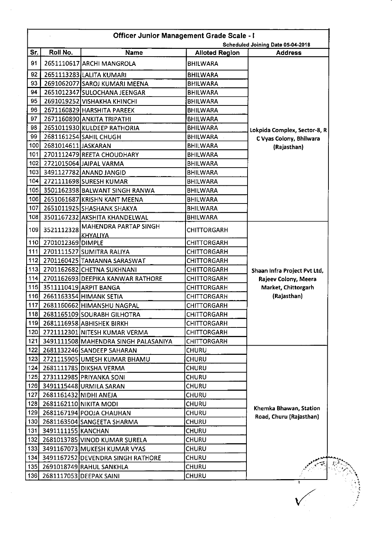| <b>Officer Junior Management Grade Scale - I</b><br>Scheduled Joining Date 05-04-2018 |                        |                                               |                       |                              |  |
|---------------------------------------------------------------------------------------|------------------------|-----------------------------------------------|-----------------------|------------------------------|--|
| Sr.                                                                                   | Roll No.               | <b>Name</b>                                   | <b>Alloted Region</b> | <b>Address</b>               |  |
| 91                                                                                    |                        | 2651110617 ARCHI MANGROLA                     | <b>BHILWARA</b>       |                              |  |
| 92                                                                                    |                        | 2651113283 LALITA KUMARI                      | <b>BHILWARA</b>       |                              |  |
| 93                                                                                    |                        | 2691062077 SAROJ KUMARI MEENA                 | <b>BHILWARA</b>       |                              |  |
| 94                                                                                    |                        | 2651012347 SULOCHANA JEENGAR                  | <b>BHILWARA</b>       |                              |  |
| 95                                                                                    |                        | 2691019252 VISHAKHA KHINCHI                   | <b>BHILWARA</b>       |                              |  |
| 96                                                                                    |                        | 2671160829 HARSHITA PAREEK                    | <b>BHILWARA</b>       |                              |  |
| 97                                                                                    |                        | 2671160890 ANKITA TRIPATHI                    | <b>BHILWARA</b>       |                              |  |
| 98                                                                                    |                        | 2651011930 KULDEEP RATHORIA                   | <b>BHILWARA</b>       | Lokpida Complex, Sector-8, R |  |
| 99                                                                                    |                        | 2681161254 SAHIL CHUGH                        | <b>BHILWARA</b>       | C Vyas Colony, Bhilwara      |  |
| 100                                                                                   | 2681014611 JASKARAN    |                                               | <b>BHILWARA</b>       | (Rajasthan)                  |  |
| 101                                                                                   |                        | 2701112479 REETA CHOUDHARY                    | <b>BHILWARA</b>       |                              |  |
| 102                                                                                   |                        | 2721015064 JAIPAL VARMA                       | <b>BHILWARA</b>       |                              |  |
| 103                                                                                   |                        | 3491127782 ANAND JANGID                       | <b>BHILWARA</b>       |                              |  |
| 104                                                                                   |                        | 2721111698 SURESH KUMAR                       | <b>BHILWARA</b>       |                              |  |
| 105                                                                                   |                        | 3501162398 BALWANT SINGH RANWA                | <b>BHILWARA</b>       |                              |  |
| 106                                                                                   |                        | 2651061687 KRISHN KANT MEENA                  | <b>BHILWARA</b>       |                              |  |
| 107                                                                                   |                        | 2651011925 SHASHANK SHAKYA                    | <b>BHILWARA</b>       |                              |  |
| 108                                                                                   |                        | 3501167232 AKSHITA KHANDELWAL                 | <b>BHILWARA</b>       |                              |  |
| 109                                                                                   |                        | 3521112328 MAHENDRA PARTAP SINGH<br> KHYALIYA | <b>CHITTORGARH</b>    |                              |  |
| 110                                                                                   | 2701012369 DIMPLE      |                                               | <b>CHITTORGARH</b>    |                              |  |
| 111                                                                                   |                        | 2701111527 SUMITRA RALIYA                     | CHITTORGARH           |                              |  |
| 112                                                                                   |                        | 2701160425 TAMANNA SARASWAT                   | <b>CHITTORGARH</b>    |                              |  |
| 113                                                                                   |                        | 2701162682 CHETNA SUKHNANI                    | <b>CHITTORGARH</b>    | Shaan Infra Project Pvt Ltd, |  |
| 114                                                                                   |                        | 2701162693 DEEPIKA KANWAR RATHORE             | <b>CHITTORGARH</b>    | Rajeev Colony, Meera         |  |
| 115                                                                                   |                        | 3511110419 ARPIT BANGA                        | <b>CHITTORGARH</b>    | Market, Chittorgarh          |  |
| 116                                                                                   |                        | 2661163354 HIMANK SETIA                       | <b>CHITTORGARH</b>    | (Rajasthan)                  |  |
| 117                                                                                   |                        | 2681160662 HIMANSHU NAGPAL                    | <b>CHITTORGARH</b>    |                              |  |
|                                                                                       |                        | 118 2681165109 SOURABH GILHOTRA               | <b>CHITTORGARH</b>    |                              |  |
|                                                                                       |                        | 119 2681116958 ABHISHEK BIRKH                 | CHITTORGARH           |                              |  |
|                                                                                       |                        | 120 2721112301 NITESH KUMAR VERMA             | <b>CHITTORGARH</b>    |                              |  |
|                                                                                       |                        | 121 3491111508 MAHENDRA SINGH PALASANIYA      | <b>CHITTORGARH</b>    |                              |  |
| 122                                                                                   |                        | 2681132246 SANDEEP SAHARAN                    | <b>CHURU</b>          |                              |  |
| 123                                                                                   |                        | 2721115905 UMESH KUMAR BHAMU                  | <b>CHURU</b>          |                              |  |
| 124                                                                                   |                        | 2681111785 DIKSHA VERMA                       | <b>CHURU</b>          |                              |  |
|                                                                                       |                        | 125 2731112985 PRIYANKA SONI                  | <b>CHURU</b>          |                              |  |
|                                                                                       |                        | 126 3491115448 URMILA SARAN                   | <b>CHURU</b>          |                              |  |
| 127                                                                                   | 2681161432 NIDHI ANEJA |                                               | <b>CHURU</b>          |                              |  |
| 128                                                                                   | 2681162110 NIKITA MODI |                                               | CHURU                 |                              |  |
| 129                                                                                   |                        | 2681167194 POOJA CHAUHAN                      | <b>CHURU</b>          | Khemka Bhawan, Station       |  |
| 130                                                                                   |                        | 2681163504 SANGEETA SHARMA                    | CHURU                 | Road, Churu (Rajasthan)      |  |
| 131                                                                                   | 3491111155 KANCHAN     |                                               | CHURU                 |                              |  |
| 132                                                                                   |                        | 2681013785 VINOD KUMAR SURELA                 | <b>CHURU</b>          |                              |  |
| 133                                                                                   |                        | 3491167073 MUKESH KUMAR VYAS                  | <b>CHURU</b>          |                              |  |
|                                                                                       |                        | 134 3491167252 DEVENDRA SINGH RATHORE         | <b>CHURU</b>          |                              |  |
| 135                                                                                   |                        | 2691018749 RAHUL SANKHLA                      | CHURU                 |                              |  |
| 136                                                                                   |                        | 2681117053 DEEPAK SAINI                       | CHURU                 |                              |  |

 $\frac{1}{2}$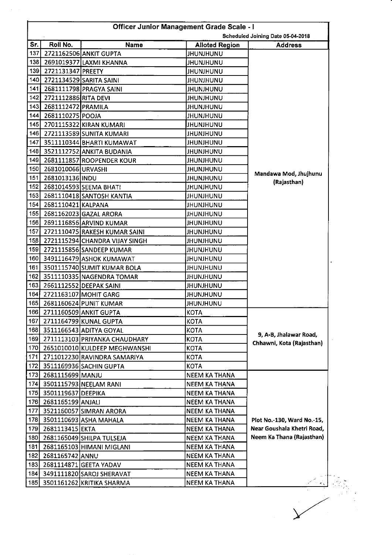| <b>Officer Junior Management Grade Scale - I</b>    |                       |                                |                        |     |  |
|-----------------------------------------------------|-----------------------|--------------------------------|------------------------|-----|--|
| Scheduled Joining Date 05-04-2018<br><b>Address</b> | <b>Alloted Region</b> | Name                           | Roll No.               | Sr. |  |
|                                                     | JHUNJHUNU             | 2721162506 ANKIT GUPTA         |                        | 137 |  |
|                                                     | JHUNJHUNU             | 2691019377 LAXMI KHANNA        |                        | 138 |  |
|                                                     | JHUNJHUNU             |                                | 2721131347 PREETY      | 139 |  |
|                                                     | <b>JHUNJHUNU</b>      | 2721134529 SARITA SAINI        |                        | 140 |  |
|                                                     | <b>JHUNJHUNU</b>      | 2681111798 PRAGYA SAINI        |                        | 141 |  |
|                                                     | <b>JHUNJHUNU</b>      |                                | 2721112886 RITA DEVI   | 142 |  |
|                                                     | JHUNJHUNU             |                                | 143 2681112472 PRAMILA |     |  |
|                                                     | <b>JHUNJHUNU</b>      |                                | 2681110275 POOJA       | 144 |  |
|                                                     | JHUNJHUNU             | 2701115322 KIRAN KUMARI        |                        | 145 |  |
|                                                     | <b>JHUNJHUNU</b>      | 2721113589 SUNITA KUMARI       |                        | 146 |  |
|                                                     | <b>JHUNJHUNU</b>      | 3511110344 BHARTI KUMAWAT      |                        | 147 |  |
|                                                     | <b>JHUNJHUNU</b>      | 3521112752 ANKITA BUDANIA      |                        | 148 |  |
|                                                     | JHUNJHUNU             | 2681111857 ROOPENDER KOUR      |                        | 149 |  |
|                                                     | <b>JHUNJHUNU</b>      |                                | 2681010066 URVASHI     | 150 |  |
| Mandawa Mod, Jhujhunu                               | <b>JHUNJHUNU</b>      |                                | 2681013136 INDU        | 151 |  |
| (Rajasthan)                                         | <b>JHUNJHUNU</b>      | 2681014593 SEEMA BHATI         |                        | 152 |  |
|                                                     | <b>JHUNJHUNU</b>      | 2681110418 SANTOSH KANTIA      |                        | 153 |  |
|                                                     | <b>JHUNJHUNU</b>      |                                | 2681110421 KALPANA     | 154 |  |
|                                                     | <b>JHUNJHUNU</b>      | 2681162023 GAZAL ARORA         |                        | 155 |  |
|                                                     | <b>JHUNJHUNU</b>      | 2691116856 ARVIND KUMAR        |                        | 156 |  |
|                                                     |                       | 2721110475 RAKESH KUMAR SAINI  |                        | 157 |  |
|                                                     | <b>JHUNJHUNU</b>      | 2721115294 CHANDRA VIJAY SINGH |                        | 158 |  |
|                                                     | <b>JHUNJHUNU</b>      |                                |                        | 159 |  |
|                                                     | <b>JHUNJHUNU</b>      | 2721115856 SANDEEP KUMAR       |                        |     |  |
|                                                     | JHUNJHUNU             | 3491116479 ASHOK KUMAWAT       |                        | 160 |  |
|                                                     | <b>JHUNJHUNU</b>      | 3501115740 SUMIT KUMAR BOLA    |                        | 161 |  |
|                                                     | <b>UNUHUNU</b>        | 3511110335 NAGENDRA TOMAR      |                        | 162 |  |
|                                                     | <b>JHUNJHUNU</b>      | 2661112552 DEEPAK SAINI        |                        | 163 |  |
|                                                     | <b>JHUNJHUNU</b>      | 2721163107 MOHIT GARG          |                        | 164 |  |
|                                                     | <b>JHUNJHUNU</b>      | 2681160624 PUNIT KUMAR         |                        | 165 |  |
|                                                     | <b>KOTA</b>           | 2711160509 ANKIT GUPTA         |                        | 166 |  |
|                                                     | <b>KOTA</b>           | 2711164799 KUNAL GUPTA         |                        | 167 |  |
| 9, A-B, Jhalawar Road,                              | <b>KOTA</b>           | 3511166543 ADITYA GOYAL        |                        | 168 |  |
| Chhawni, Kota (Rajasthan)                           | <b>KOTA</b>           | 2711113103 PRIYANKA CHAUDHARY  |                        | 169 |  |
|                                                     | <b>KOTA</b>           | 2651010010 KULDEEP MEGHWANSHI  |                        | 170 |  |
|                                                     | <b>KOTA</b>           | 2711012230 RAVINDRA SAMARIYA   |                        | 171 |  |
|                                                     | KOTA                  | 3511169936 SACHIN GUPTA        |                        | 172 |  |
|                                                     | <b>NEEM KA THANA</b>  |                                | 2681115699 MANJU       | 173 |  |
|                                                     | <b>NEEM KA THANA</b>  | 174 3501115793 NEELAM RANI     |                        |     |  |
|                                                     | <b>NEEM KA THANA</b>  |                                | 175 3501119637 DEEPIKA |     |  |
|                                                     | NEEM KA THANA         |                                | 2681165199 ANJALI      | 176 |  |
|                                                     | NEEM KA THANA         | 3521160057 SIMRAN ARORA        |                        | 177 |  |
| Plot No.-130, Ward No.-15,                          | NEEM KA THANA         | 178 3501110693 ASHA MAHALA     |                        |     |  |
| Near Goushala Khetri Road,                          | <b>NEEM KA THANA</b>  |                                | 2681113415 EKTA        | 179 |  |
| Neem Ka Thana (Rajasthan)                           | <b>NEEM KA THANA</b>  | 2681165049 SHILPA TULSEJA      |                        | 180 |  |
|                                                     | <b>NEEM KA THANA</b>  | 2681165103 HIMANI MIGLANI      |                        | 181 |  |
|                                                     | <b>NEEM KA THANA</b>  |                                | 2681165742 ANNU        | 182 |  |
|                                                     | NEEM KA THANA         | 2681114871 GEETA YADAV         |                        | 183 |  |
|                                                     | NEEM KA THANA         | 184 3491111820 SAROJ SHERAVAT  |                        |     |  |
|                                                     | NEEM KA THANA         | 185 3501161262 KRITIKA SHARMA  |                        |     |  |

 $\label{eq:1} \frac{1}{\sqrt{2\pi}}\left(\frac{1}{\sqrt{2\pi}}\right)^{1/2}$